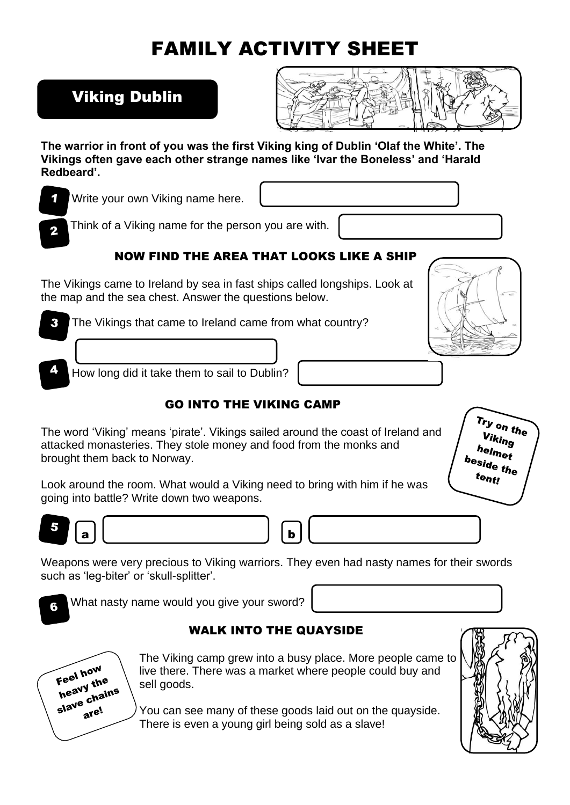# FAMILY ACTIVITY SHEET

# Viking Dublin



**The warrior in front of you was the first Viking king of Dublin 'Olaf the White'. The Vikings often gave each other strange names like 'Ivar the Boneless' and 'Harald Redbeard'.**

Write your own Viking name here.

Think of a Viking name for the person you are with.

# NOW FIND THE AREA THAT LOOKS LIKE A SHIP

The Vikings came to Ireland by sea in fast ships called longships. Look at the map and the sea chest. Answer the questions below.

The Vikings that came to Ireland came from what country?  $\mathbf{R}$ 



How long did it take them to sail to Dublin?

# GO INTO THE VIKING CAMP

The word 'Viking' means 'pirate'. Vikings sailed around the coast of Ireland and attacked monasteries. They stole money and food from the monks and brought them back to Norway.



Look around the room. What would a Viking need to bring with him if he was going into battle? Write down two weapons.



a b

Weapons were very precious to Viking warriors. They even had nasty names for their swords such as 'leg-biter' or 'skull-splitter'.



6

What nasty name would you give your sword?

## WALK INTO THE QUAYSIDE



The Viking camp grew into a busy place. More people came to live there. There was a market where people could buy and sell goods.

You can see many of these goods laid out on the quayside. There is even a young girl being sold as a slave!

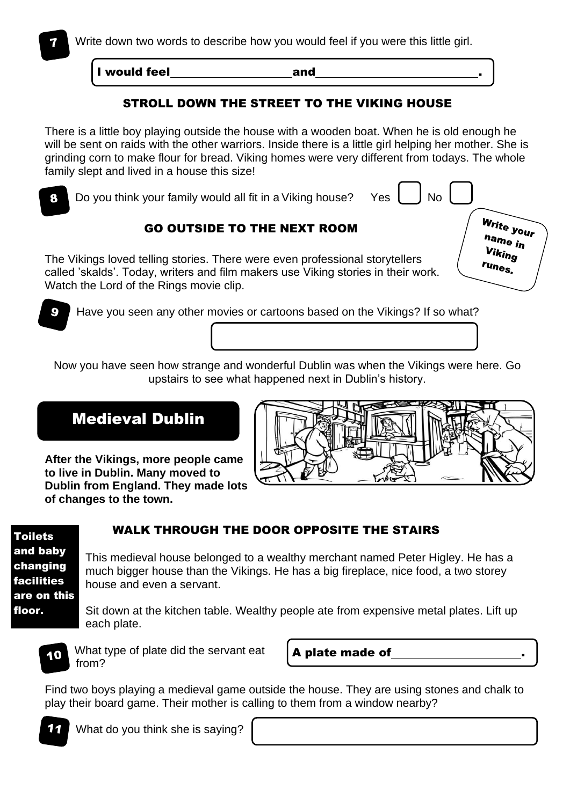I would feel **and** and

#### STROLL DOWN THE STREET TO THE VIKING HOUSE

There is a little boy playing outside the house with a wooden boat. When he is old enough he will be sent on raids with the other warriors. Inside there is a little girl helping her mother. She is grinding corn to make flour for bread. Viking homes were very different from todays. The whole family slept and lived in a house this size!



Now you have seen how strange and wonderful Dublin was when the Vikings were here. Go upstairs to see what happened next in Dublin's history.

## Medieval Dublin

**After the Vikings, more people came to live in Dublin. Many moved to Dublin from England. They made lots of changes to the town.**



Toilets and baby changing facilities are on this floor.

#### WALK THROUGH THE DOOR OPPOSITE THE STAIRS

This medieval house belonged to a wealthy merchant named Peter Higley. He has a much bigger house than the Vikings. He has a big fireplace, nice food, a two storey house and even a servant.

Sit down at the kitchen table. Wealthy people ate from expensive metal plates. Lift up each plate.



What type of plate did the servant eat from?

A plate made of .

Find two boys playing a medieval game outside the house. They are using stones and chalk to play their board game. Their mother is calling to them from a window nearby?



What do you think she is saying?